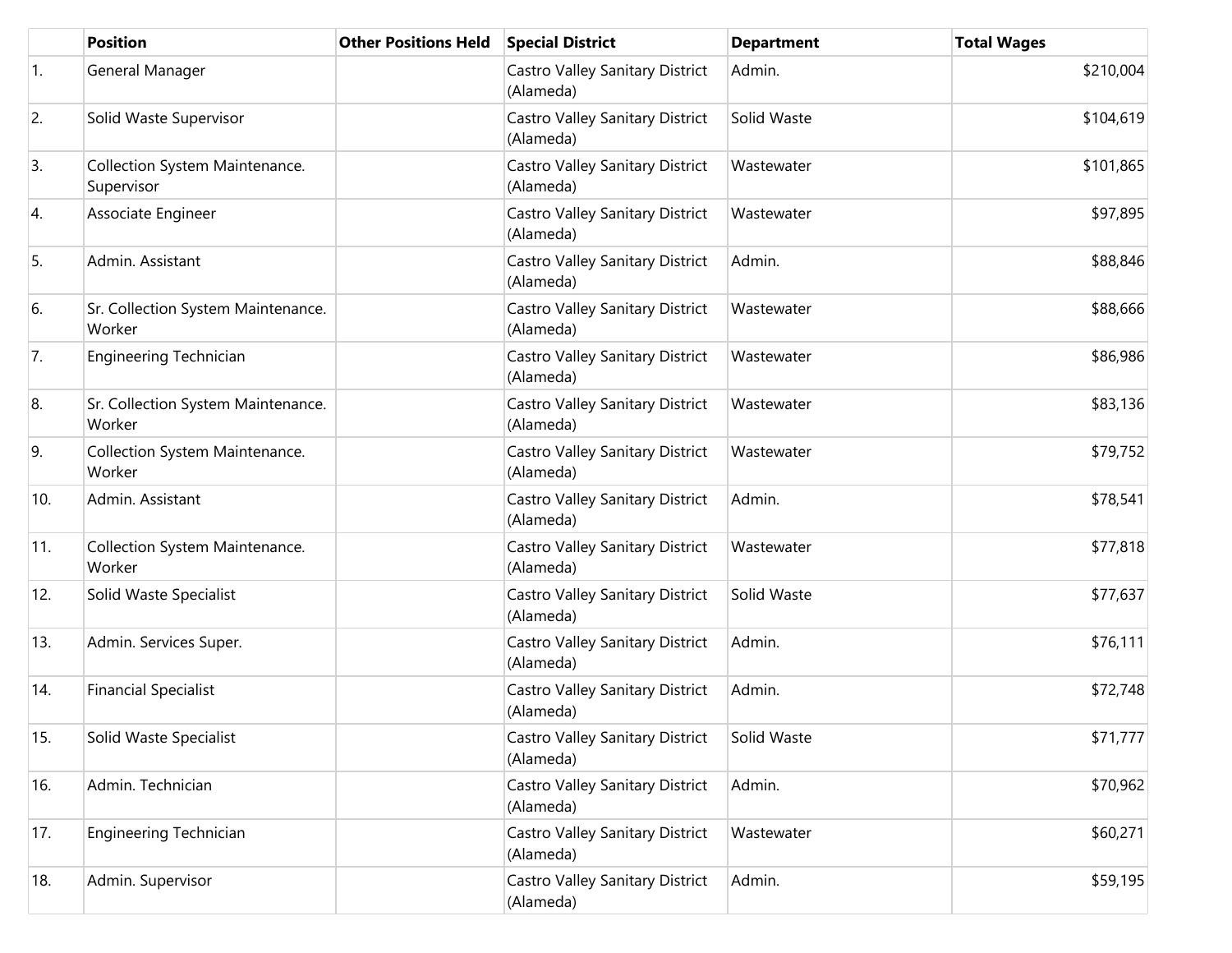|     | <b>Position</b>                              | <b>Other Positions Held</b> | <b>Special District</b>                      | <b>Department</b> | <b>Total Wages</b> |
|-----|----------------------------------------------|-----------------------------|----------------------------------------------|-------------------|--------------------|
| 1.  | General Manager                              |                             | Castro Valley Sanitary District<br>(Alameda) | Admin.            | \$210,004          |
| 2.  | Solid Waste Supervisor                       |                             | Castro Valley Sanitary District<br>(Alameda) | Solid Waste       | \$104,619          |
| 3.  | Collection System Maintenance.<br>Supervisor |                             | Castro Valley Sanitary District<br>(Alameda) | Wastewater        | \$101,865          |
| 4.  | Associate Engineer                           |                             | Castro Valley Sanitary District<br>(Alameda) | Wastewater        | \$97,895           |
| 5.  | Admin. Assistant                             |                             | Castro Valley Sanitary District<br>(Alameda) | Admin.            | \$88,846           |
| 6.  | Sr. Collection System Maintenance.<br>Worker |                             | Castro Valley Sanitary District<br>(Alameda) | Wastewater        | \$88,666           |
| 7.  | Engineering Technician                       |                             | Castro Valley Sanitary District<br>(Alameda) | Wastewater        | \$86,986           |
| 8.  | Sr. Collection System Maintenance.<br>Worker |                             | Castro Valley Sanitary District<br>(Alameda) | Wastewater        | \$83,136           |
| 9.  | Collection System Maintenance.<br>Worker     |                             | Castro Valley Sanitary District<br>(Alameda) | Wastewater        | \$79,752           |
| 10. | Admin. Assistant                             |                             | Castro Valley Sanitary District<br>(Alameda) | Admin.            | \$78,541           |
| 11. | Collection System Maintenance.<br>Worker     |                             | Castro Valley Sanitary District<br>(Alameda) | Wastewater        | \$77,818           |
| 12. | Solid Waste Specialist                       |                             | Castro Valley Sanitary District<br>(Alameda) | Solid Waste       | \$77,637           |
| 13. | Admin. Services Super.                       |                             | Castro Valley Sanitary District<br>(Alameda) | Admin.            | \$76,111           |
| 14. | <b>Financial Specialist</b>                  |                             | Castro Valley Sanitary District<br>(Alameda) | Admin.            | \$72,748           |
| 15. | Solid Waste Specialist                       |                             | Castro Valley Sanitary District<br>(Alameda) | Solid Waste       | \$71,777           |
| 16. | Admin. Technician                            |                             | Castro Valley Sanitary District<br>(Alameda) | Admin.            | \$70,962           |
| 17. | Engineering Technician                       |                             | Castro Valley Sanitary District<br>(Alameda) | Wastewater        | \$60,271           |
| 18. | Admin. Supervisor                            |                             | Castro Valley Sanitary District<br>(Alameda) | Admin.            | \$59,195           |